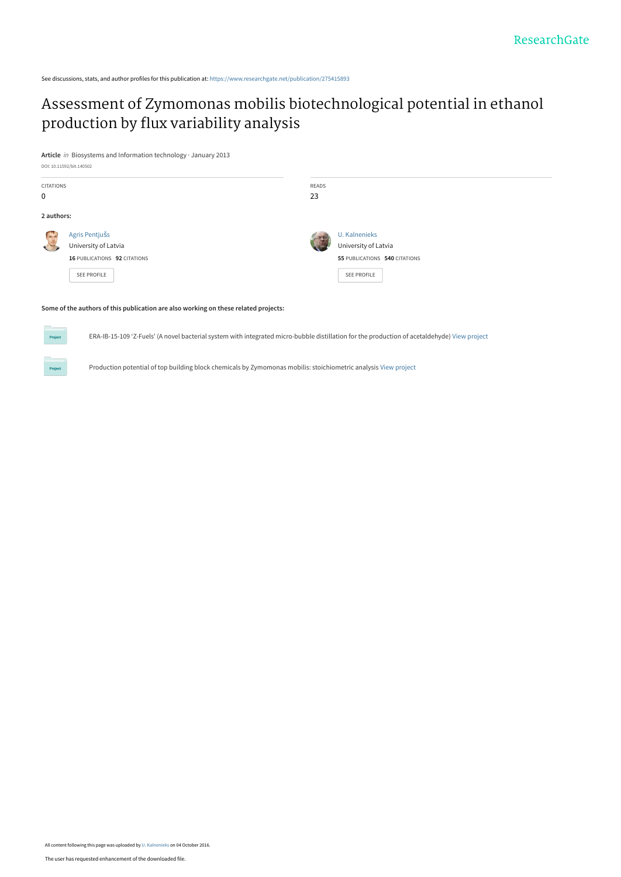See discussions, stats, and author profiles for this publication at: [https://www.researchgate.net/publication/275415893](https://www.researchgate.net/publication/275415893_Assessment_of_Zymomonas_mobilis_biotechnological_potential_in_ethanol_production_by_flux_variability_analysis?enrichId=rgreq-cd92a0e3be6346b26f68c1f9f9f2f1b6-XXX&enrichSource=Y292ZXJQYWdlOzI3NTQxNTg5MztBUzo0MTM0NTc0ODU3MTM0MTZAMTQ3NTU4NzM1NDUzOA%3D%3D&el=1_x_2&_esc=publicationCoverPdf)

## [Assessment of Zymomonas mobilis biotechnological potential in ethanol](https://www.researchgate.net/publication/275415893_Assessment_of_Zymomonas_mobilis_biotechnological_potential_in_ethanol_production_by_flux_variability_analysis?enrichId=rgreq-cd92a0e3be6346b26f68c1f9f9f2f1b6-XXX&enrichSource=Y292ZXJQYWdlOzI3NTQxNTg5MztBUzo0MTM0NTc0ODU3MTM0MTZAMTQ3NTU4NzM1NDUzOA%3D%3D&el=1_x_3&_esc=publicationCoverPdf) production by flux variability analysis

**Article** in Biosystems and Information technology · January 2013



#### **Some of the authors of this publication are also working on these related projects:**

ERA-IB-15-109 'Z-Fuels' (A novel bacterial system with integrated micro-bubble distillation for the production of acetaldehyde) [View project](https://www.researchgate.net/project/ERA-IB-15-109-Z-Fuels-A-novel-bacterial-system-with-integrated-micro-bubble-distillation-for-the-production-of-acetaldehyde?enrichId=rgreq-cd92a0e3be6346b26f68c1f9f9f2f1b6-XXX&enrichSource=Y292ZXJQYWdlOzI3NTQxNTg5MztBUzo0MTM0NTc0ODU3MTM0MTZAMTQ3NTU4NzM1NDUzOA%3D%3D&el=1_x_9&_esc=publicationCoverPdf)

Production potential of top building block chemicals by Zymomonas mobilis: stoichiometric analysis [View project](https://www.researchgate.net/project/Production-potential-of-top-building-block-chemicals-by-Zymomonas-mobilis-stoichiometric-analysis?enrichId=rgreq-cd92a0e3be6346b26f68c1f9f9f2f1b6-XXX&enrichSource=Y292ZXJQYWdlOzI3NTQxNTg5MztBUzo0MTM0NTc0ODU3MTM0MTZAMTQ3NTU4NzM1NDUzOA%3D%3D&el=1_x_9&_esc=publicationCoverPdf)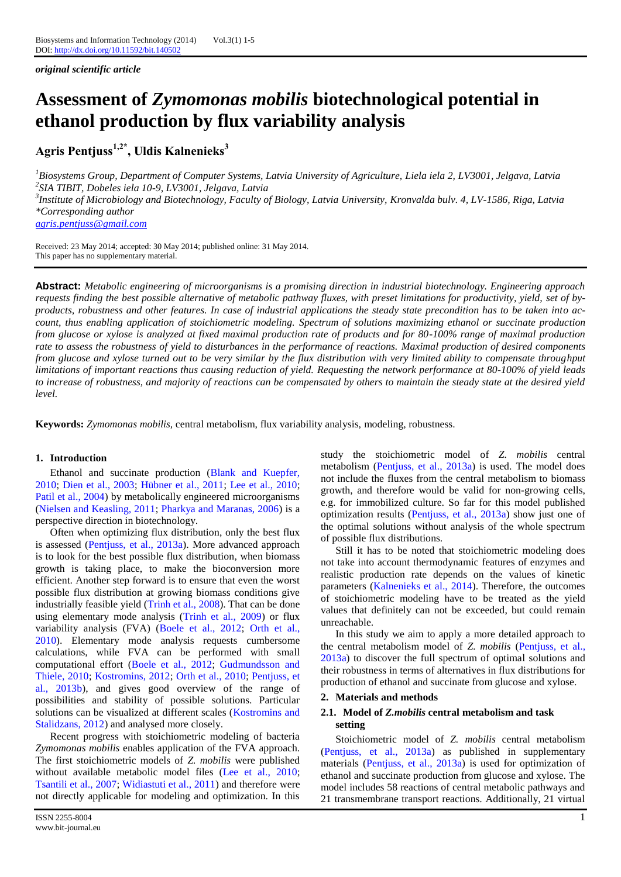*original scientific article*

# **Assessment of** *Zymomonas mobilis* **biotechnological potential in ethanol production by flux variability analysis**

**Agris Pentjuss1,2\*, Uldis Kalnenieks<sup>3</sup>**

*<sup>1</sup>Biosystems Group, Department of Computer Systems, Latvia University of Agriculture, Liela iela 2, LV3001, Jelgava, Latvia 2 SIA TIBIT, Dobeles iela 10-9, LV3001, Jelgava, Latvia 3 Institute of Microbiology and Biotechnology, Faculty of Biology, Latvia University, Kronvalda bulv. 4, LV-1586, Riga, Latvia \*Corresponding author [agris.pentjuss@gmail.com](mailto:agris.pentjuss@gmail.com)*

Received: 23 May 2014; accepted: 30 May 2014; published online: 31 May 2014. This paper has no supplementary material.

**Abstract:** *Metabolic engineering of microorganisms is a promising direction in industrial biotechnology. Engineering approach requests finding the best possible alternative of metabolic pathway fluxes, with preset limitations for productivity, yield, set of byproducts, robustness and other features. In case of industrial applications the steady state precondition has to be taken into account, thus enabling application of stoichiometric modeling. Spectrum of solutions maximizing ethanol or succinate production from glucose or xylose is analyzed at fixed maximal production rate of products and for 80-100% range of maximal production rate to assess the robustness of yield to disturbances in the performance of reactions. Maximal production of desired components from glucose and xylose turned out to be very similar by the flux distribution with very limited ability to compensate throughput limitations of important reactions thus causing reduction of yield. Requesting the network performance at 80-100% of yield leads to increase of robustness, and majority of reactions can be compensated by others to maintain the steady state at the desired yield level.*

**Keywords:** *Zymomonas mobilis,* central metabolism, flux variability analysis, modeling, robustness.

## **1. Introduction**

Ethanol and succinate production [\(Blank and Kuepfer,](#page-5-0)  [2010;](#page-5-0) [Dien et al., 2003;](#page-5-1) [Hübner et al., 2011;](#page-5-2) [Lee et al., 2010;](#page-5-3) [Patil et al., 2004\)](#page-5-4) by metabolically engineered microorganisms [\(Nielsen and Keasling, 2011;](#page-5-5) [Pharkya and Maranas, 2006\)](#page-5-6) is a perspective direction in biotechnology.

Often when optimizing flux distribution, only the best flux is assessed [\(Pentjuss, et al., 2013a\)](#page-5-7). More advanced approach is to look for the best possible flux distribution, when biomass growth is taking place, to make the bioconversion more efficient. Another step forward is to ensure that even the worst possible flux distribution at growing biomass conditions give industrially feasible yield [\(Trinh et al., 2008\)](#page-5-8). That can be done using elementary mode analysis [\(Trinh et al., 2009\)](#page-5-9) or flux variability analysis (FVA) [\(Boele et al., 2012;](#page-5-10) [Orth et al.,](#page-5-11)  [2010\)](#page-5-11). Elementary mode analysis requests cumbersome calculations, while FVA can be performed with small computational effort [\(Boele et al., 2012;](#page-5-10) [Gudmundsson and](#page-5-12)  [Thiele, 2010;](#page-5-12) [Kostromins, 2012;](#page-5-13) Orth [et al., 2010;](#page-5-11) [Pentjuss, et](#page-5-14)  [al., 2013b\)](#page-5-14), and gives good overview of the range of possibilities and stability of possible solutions. Particular solutions can be visualized at different scales [\(Kostromins and](#page-5-15)  [Stalidzans, 2012\)](#page-5-15) and analysed more closely.

Recent progress with stoichiometric modeling of bacteria *Zymomonas mobilis* enables application of the FVA approach. The first stoichiometric models of *Z. mobilis* were published without available metabolic model files [\(Lee et al., 2010;](#page-5-3) [Tsantili et al., 2007;](#page-5-16) [Widiastuti et al., 2011\)](#page-5-17) and therefore were not directly applicable for modeling and optimization. In this study the stoichiometric model of *Z. mobilis* central metabolism (Pentjuss, [et al., 2013a\)](#page-5-7) is used. The model does not include the fluxes from the central metabolism to biomass growth, and therefore would be valid for non-growing cells, e.g. for immobilized culture. So far for this model published optimization results (Pentjuss, [et al., 2013a\)](#page-5-7) show just one of the optimal solutions without analysis of the whole spectrum of possible flux distributions.

Still it has to be noted that stoichiometric modeling does not take into account thermodynamic features of enzymes and realistic production rate depends on the values of kinetic parameters [\(Kalnenieks et al., 2014\)](#page-5-18). Therefore, the outcomes of stoichiometric modeling have to be treated as the yield values that definitely can not be exceeded, but could remain unreachable.

In this study we aim to apply a more detailed approach to the central metabolism model of *Z. mobilis* [\(Pentjuss, et al.,](#page-5-7)  [2013a\)](#page-5-7) to discover the full spectrum of optimal solutions and their robustness in terms of alternatives in flux distributions for production of ethanol and succinate from glucose and xylose.

#### **2. Materials and methods**

#### **2.1. Model of** *Z.mobilis* **central metabolism and task setting**

Stoichiometric model of *Z. mobilis* central metabolism (Pentjuss, [et al., 2013a\)](#page-5-7) as published in supplementary materials (Pentjuss, [et al., 2013a\)](#page-5-7) is used for optimization of ethanol and succinate production from glucose and xylose. The model includes 58 reactions of central metabolic pathways and 21 transmembrane transport reactions. Additionally, 21 virtual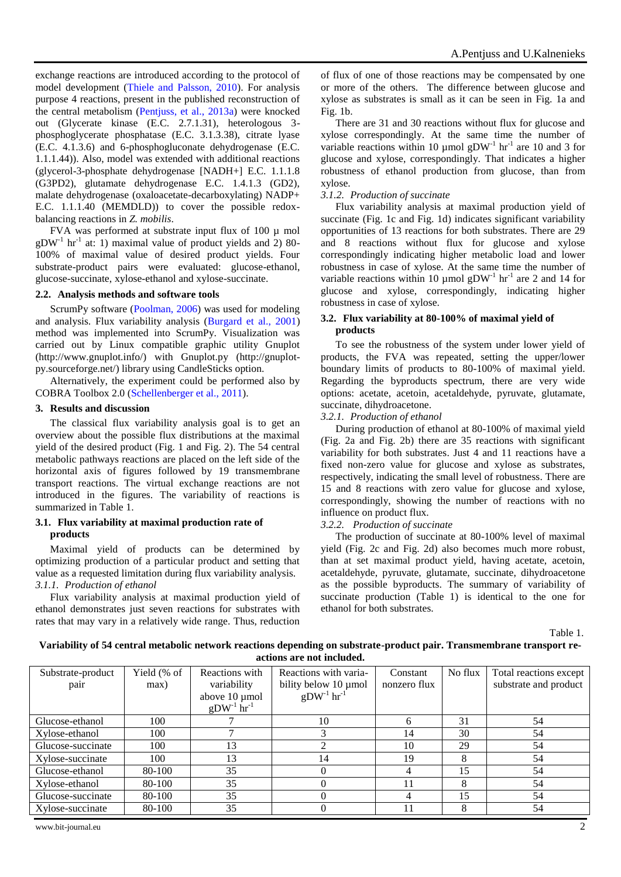exchange reactions are introduced according to the protocol of model development [\(Thiele and Palsson, 2010\)](#page-5-19). For analysis purpose 4 reactions, present in the published reconstruction of the central metabolism [\(Pentjuss, et al., 2013a\)](#page-5-7) were knocked out (Glycerate kinase (E.C. 2.7.1.31), heterologous 3 phosphoglycerate phosphatase (E.C. 3.1.3.38), citrate lyase (E.C. 4.1.3.6) and 6-phosphogluconate dehydrogenase (E.C. 1.1.1.44)). Also, model was extended with additional reactions (glycerol-3-phosphate dehydrogenase [NADH+] E.C. 1.1.1.8 (G3PD2), glutamate dehydrogenase E.C. 1.4.1.3 (GD2), malate dehydrogenase (oxaloacetate-decarboxylating) NADP+ E.C. 1.1.1.40 (MEMDLD)) to cover the possible redoxbalancing reactions in *Z. mobilis*.

FVA was performed at substrate input flux of 100 µ mol  $gDW<sup>-1</sup>$  hr<sup>-1</sup> at: 1) maximal value of product yields and 2) 80-100% of maximal value of desired product yields. Four substrate-product pairs were evaluated: glucose-ethanol, glucose-succinate, xylose-ethanol and xylose-succinate.

## **2.2. Analysis methods and software tools**

ScrumPy software [\(Poolman, 2006\)](#page-5-20) was used for modeling and analysis. Flux variability analysis [\(Burgard et al., 2001\)](#page-5-21) method was implemented into ScrumPy. Visualization was carried out by Linux compatible graphic utility Gnuplot [\(http://www.gnuplot.info/\)](http://www.gnuplot.info/) with Gnuplot.py [\(http://gnuplot](http://gnuplot-py.sourceforge.net/)[py.sourceforge.net/\)](http://gnuplot-py.sourceforge.net/) library using CandleSticks option.

Alternatively, the experiment could be performed also by COBRA Toolbox 2.0 [\(Schellenberger et al., 2011\)](#page-5-22).

## **3. Results and discussion**

The classical flux variability analysis goal is to get an overview about the possible flux distributions at the maximal yield of the desired product (Fig. 1 and Fig. 2). The 54 central metabolic pathways reactions are placed on the left side of the horizontal axis of figures followed by 19 transmembrane transport reactions. The virtual exchange reactions are not introduced in the figures. The variability of reactions is summarized in Table 1.

#### **3.1. Flux variability at maximal production rate of products**

Maximal yield of products can be determined by optimizing production of a particular product and setting that value as a requested limitation during flux variability analysis. *3.1.1. Production of ethanol*

Flux variability analysis at maximal production yield of ethanol demonstrates just seven reactions for substrates with rates that may vary in a relatively wide range. Thus, reduction

of flux of one of those reactions may be compensated by one or more of the others. The difference between glucose and xylose as substrates is small as it can be seen in Fig. 1a and Fig. 1b.

There are 31 and 30 reactions without flux for glucose and xylose correspondingly. At the same time the number of variable reactions within 10 µmol  $gDW<sup>-1</sup>$  hr<sup>-1</sup> are 10 and 3 for glucose and xylose, correspondingly. That indicates a higher robustness of ethanol production from glucose, than from xylose.

## *3.1.2. Production of succinate*

Flux variability analysis at maximal production yield of succinate (Fig. 1c and Fig. 1d) indicates significant variability opportunities of 13 reactions for both substrates. There are 29 and 8 reactions without flux for glucose and xylose correspondingly indicating higher metabolic load and lower robustness in case of xylose. At the same time the number of variable reactions within 10 µmol  $gDW^{-1}$  hr<sup>-1</sup> are 2 and 14 for glucose and xylose, correspondingly, indicating higher robustness in case of xylose.

## **3.2. Flux variability at 80-100% of maximal yield of products**

To see the robustness of the system under lower yield of products, the FVA was repeated, setting the upper/lower boundary limits of products to 80-100% of maximal yield. Regarding the byproducts spectrum, there are very wide options: acetate, acetoin, acetaldehyde, pyruvate, glutamate, succinate, dihydroacetone.

## *3.2.1. Production of ethanol*

During production of ethanol at 80-100% of maximal yield (Fig. 2a and Fig. 2b) there are 35 reactions with significant variability for both substrates. Just 4 and 11 reactions have a fixed non-zero value for glucose and xylose as substrates, respectively, indicating the small level of robustness. There are 15 and 8 reactions with zero value for glucose and xylose, correspondingly, showing the number of reactions with no influence on product flux.

## *3.2.2. Production of succinate*

The production of succinate at 80-100% level of maximal yield (Fig. 2c and Fig. 2d) also becomes much more robust, than at set maximal product yield, having acetate, acetoin, acetaldehyde, pyruvate, glutamate, succinate, dihydroacetone as the possible byproducts. The summary of variability of succinate production (Table 1) is identical to the one for ethanol for both substrates.

Table 1.

#### **Variability of 54 central metabolic network reactions depending on substrate-product pair. Transmembrane transport reactions are not included.**

| Substrate-product | Yield (% of | Reactions with              | Reactions with varia-       | Constant     | No flux | Total reactions except |
|-------------------|-------------|-----------------------------|-----------------------------|--------------|---------|------------------------|
| pair              | max)        | variability                 | bility below 10 µmol        | nonzero flux |         | substrate and product  |
|                   |             | above 10 µmol               | $gDW^{-1}$ hr <sup>-1</sup> |              |         |                        |
|                   |             | $gDW^{-1}$ hr <sup>-1</sup> |                             |              |         |                        |
| Glucose-ethanol   | 100         |                             | 10                          | 6            | 31      | 54                     |
| Xylose-ethanol    | 100         |                             |                             | 14           | 30      | 54                     |
| Glucose-succinate | 100         | 13                          |                             | 10           | 29      | 54                     |
| Xylose-succinate  | 100         | 13                          | 14                          | 19           | 8       | 54                     |
| Glucose-ethanol   | 80-100      | 35                          |                             | 4            | 15      | 54                     |
| Xylose-ethanol    | 80-100      | 35                          |                             |              | 8       | 54                     |
| Glucose-succinate | 80-100      | 35                          |                             | 4            | 15      | 54                     |
| Xylose-succinate  | 80-100      | 35                          |                             |              | 8       | 54                     |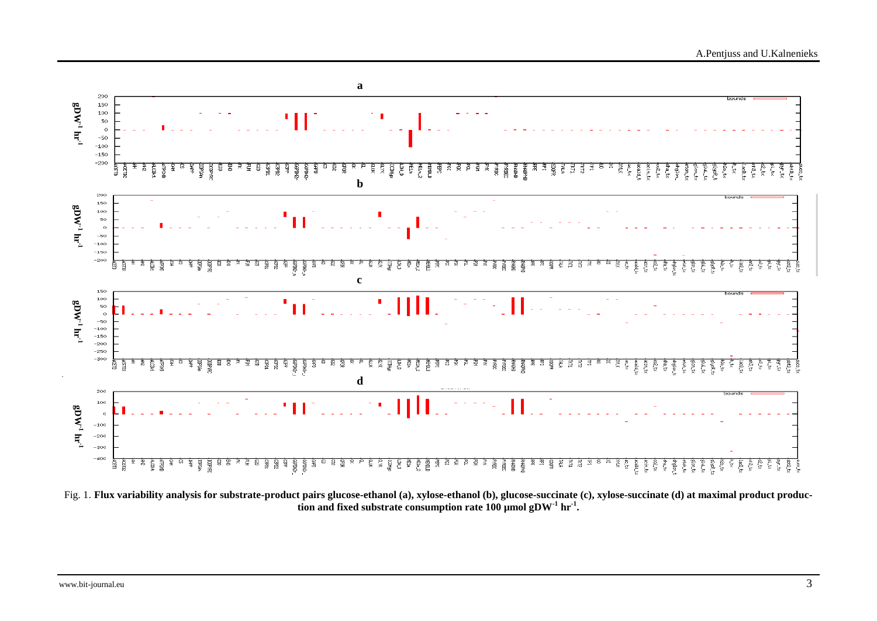

Fig. 1. **Flux variability analysis for substrate-product pairs glucose-ethanol (a), xylose-ethanol (b), glucose-succinate (c), xylose-succinate (d) at maximal product production and fixed substrate consumption rate 100 µmol gDW-1 hr-1 .**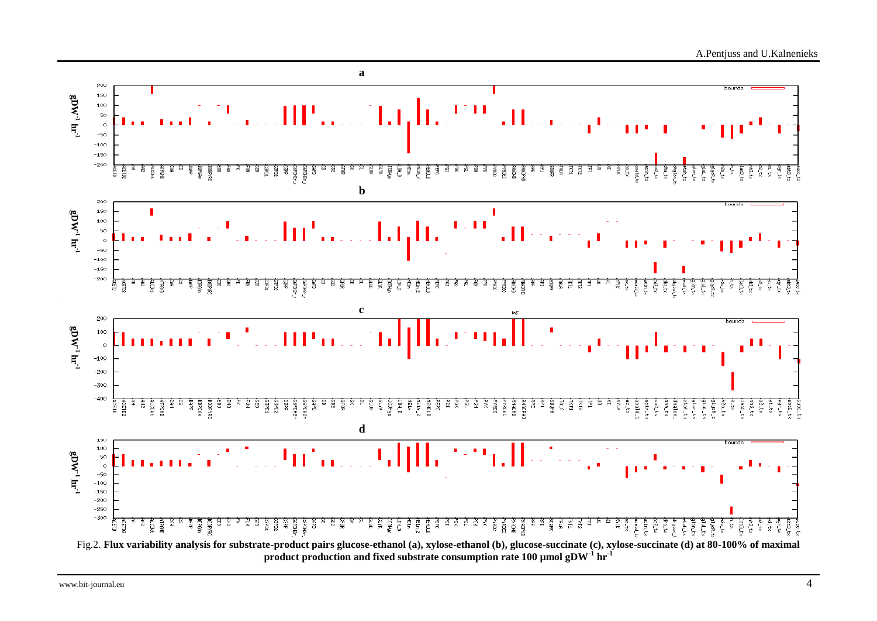

**product production and fixed substrate consumption rate 100 µmol gDW-1 hr-1**